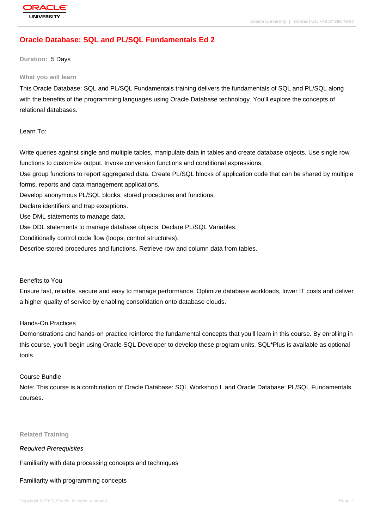# **[Oracle Databas](http://education.oracle.com/pls/web_prod-plq-dad/db_pages.getpage?page_id=3)e: SQL and PL/SQL Fundamentals Ed 2**

#### **Duration:** 5 Days

#### **What you will learn**

This Oracle Database: SQL and PL/SQL Fundamentals training delivers the fundamentals of SQL and PL/SQL along with the benefits of the programming languages using Oracle Database technology. You'll explore the concepts of relational databases.

Learn To:

Write queries against single and multiple tables, manipulate data in tables and create database objects. Use single row functions to customize output. Invoke conversion functions and conditional expressions.

Use group functions to report aggregated data. Create PL/SQL blocks of application code that can be shared by multiple forms, reports and data management applications.

Develop anonymous PL/SQL blocks, stored procedures and functions.

Declare identifiers and trap exceptions.

Use DML statements to manage data.

Use DDL statements to manage database objects. Declare PL/SQL Variables.

Conditionally control code flow (loops, control structures).

Describe stored procedures and functions. Retrieve row and column data from tables.

#### Benefits to You

Ensure fast, reliable, secure and easy to manage performance. Optimize database workloads, lower IT costs and deliver a higher quality of service by enabling consolidation onto database clouds.

#### Hands-On Practices

Demonstrations and hands-on practice reinforce the fundamental concepts that you'll learn in this course. By enrolling in this course, you'll begin using Oracle SQL Developer to develop these program units. SQL\*Plus is available as optional tools.

#### Course Bundle

Note: This course is a combination of Oracle Database: SQL Workshop I and Oracle Database: PL/SQL Fundamentals courses.

#### **Related Training**

#### Required Prerequisites

Familiarity with data processing concepts and techniques

#### Familiarity with programming concepts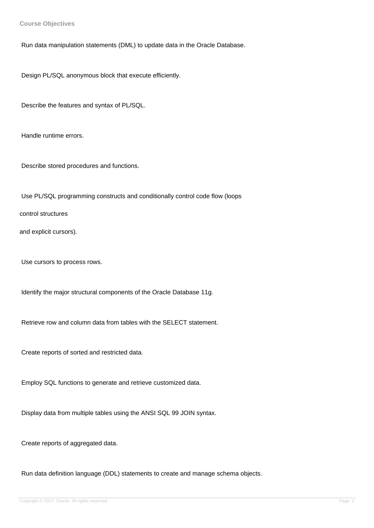**Course Objectives**

Run data manipulation statements (DML) to update data in the Oracle Database.

Design PL/SQL anonymous block that execute efficiently.

Describe the features and syntax of PL/SQL.

Handle runtime errors.

Describe stored procedures and functions.

Use PL/SQL programming constructs and conditionally control code flow (loops

control structures

and explicit cursors).

Use cursors to process rows.

Identify the major structural components of the Oracle Database 11g.

Retrieve row and column data from tables with the SELECT statement.

Create reports of sorted and restricted data.

Employ SQL functions to generate and retrieve customized data.

Display data from multiple tables using the ANSI SQL 99 JOIN syntax.

Create reports of aggregated data.

Run data definition language (DDL) statements to create and manage schema objects.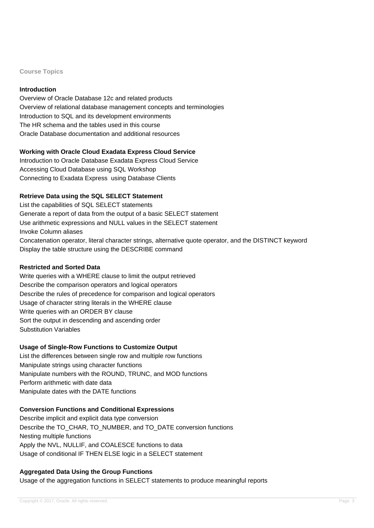#### **Course Topics**

## **Introduction**

Overview of Oracle Database 12c and related products Overview of relational database management concepts and terminologies Introduction to SQL and its development environments The HR schema and the tables used in this course Oracle Database documentation and additional resources

## **Working with Oracle Cloud Exadata Express Cloud Service**

Introduction to Oracle Database Exadata Express Cloud Service Accessing Cloud Database using SQL Workshop Connecting to Exadata Express using Database Clients

## **Retrieve Data using the SQL SELECT Statement**

List the capabilities of SQL SELECT statements Generate a report of data from the output of a basic SELECT statement Use arithmetic expressions and NULL values in the SELECT statement Invoke Column aliases Concatenation operator, literal character strings, alternative quote operator, and the DISTINCT keyword Display the table structure using the DESCRIBE command

### **Restricted and Sorted Data**

Write queries with a WHERE clause to limit the output retrieved Describe the comparison operators and logical operators Describe the rules of precedence for comparison and logical operators Usage of character string literals in the WHERE clause Write queries with an ORDER BY clause Sort the output in descending and ascending order Substitution Variables

### **Usage of Single-Row Functions to Customize Output**

List the differences between single row and multiple row functions Manipulate strings using character functions Manipulate numbers with the ROUND, TRUNC, and MOD functions Perform arithmetic with date data Manipulate dates with the DATE functions

### **Conversion Functions and Conditional Expressions**

Describe implicit and explicit data type conversion Describe the TO\_CHAR, TO\_NUMBER, and TO\_DATE conversion functions Nesting multiple functions Apply the NVL, NULLIF, and COALESCE functions to data Usage of conditional IF THEN ELSE logic in a SELECT statement

# **Aggregated Data Using the Group Functions**

Usage of the aggregation functions in SELECT statements to produce meaningful reports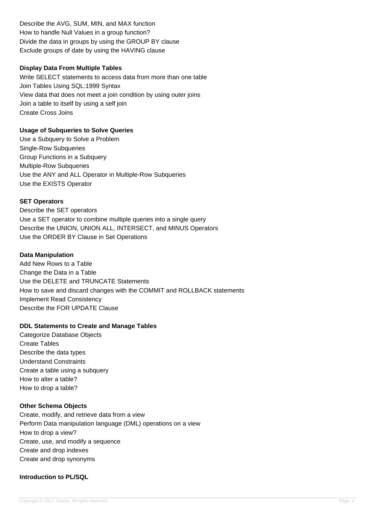Describe the AVG, SUM, MIN, and MAX function How to handle Null Values in a group function? Divide the data in groups by using the GROUP BY clause Exclude groups of date by using the HAVING clause

## **Display Data From Multiple Tables**

Write SELECT statements to access data from more than one table Join Tables Using SQL:1999 Syntax View data that does not meet a join condition by using outer joins Join a table to itself by using a self join Create Cross Joins

## **Usage of Subqueries to Solve Queries**

Use a Subquery to Solve a Problem Single-Row Subqueries Group Functions in a Subquery Multiple-Row Subqueries Use the ANY and ALL Operator in Multiple-Row Subqueries Use the EXISTS Operator

## **SET Operators**

Describe the SET operators Use a SET operator to combine multiple queries into a single query Describe the UNION, UNION ALL, INTERSECT, and MINUS Operators Use the ORDER BY Clause in Set Operations

### **Data Manipulation**

Add New Rows to a Table Change the Data in a Table Use the DELETE and TRUNCATE Statements How to save and discard changes with the COMMIT and ROLLBACK statements Implement Read Consistency Describe the FOR UPDATE Clause

### **DDL Statements to Create and Manage Tables**

Categorize Database Objects Create Tables Describe the data types Understand Constraints Create a table using a subquery How to alter a table? How to drop a table?

### **Other Schema Objects**

Create, modify, and retrieve data from a view Perform Data manipulation language (DML) operations on a view How to drop a view? Create, use, and modify a sequence Create and drop indexes Create and drop synonyms

## **Introduction to PL/SQL**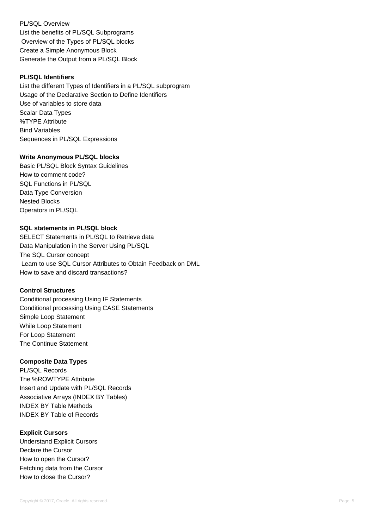PL/SQL Overview List the benefits of PL/SQL Subprograms Overview of the Types of PL/SQL blocks Create a Simple Anonymous Block Generate the Output from a PL/SQL Block

## **PL/SQL Identifiers**

List the different Types of Identifiers in a PL/SQL subprogram Usage of the Declarative Section to Define Identifiers Use of variables to store data Scalar Data Types %TYPE Attribute Bind Variables Sequences in PL/SQL Expressions

## **Write Anonymous PL/SQL blocks**

Basic PL/SQL Block Syntax Guidelines How to comment code? SQL Functions in PL/SQL Data Type Conversion Nested Blocks Operators in PL/SQL

# **SQL statements in PL/SQL block**

SELECT Statements in PL/SQL to Retrieve data Data Manipulation in the Server Using PL/SQL The SQL Cursor concept Learn to use SQL Cursor Attributes to Obtain Feedback on DML How to save and discard transactions?

### **Control Structures**

Conditional processing Using IF Statements Conditional processing Using CASE Statements Simple Loop Statement While Loop Statement For Loop Statement The Continue Statement

# **Composite Data Types**

PL/SQL Records The %ROWTYPE Attribute Insert and Update with PL/SQL Records Associative Arrays (INDEX BY Tables) INDEX BY Table Methods INDEX BY Table of Records

# **Explicit Cursors**

Understand Explicit Cursors Declare the Cursor How to open the Cursor? Fetching data from the Cursor How to close the Cursor?